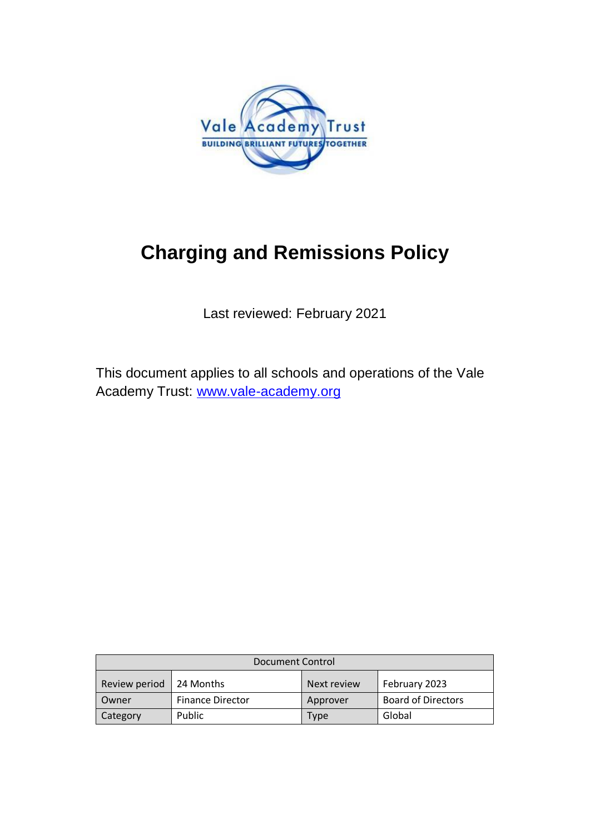

# **Charging and Remissions Policy**

Last reviewed: February 2021

This document applies to all schools and operations of the Vale Academy Trust: [www.vale-academy.org](http://www.vale-academy.org/)

| Document Control |                         |             |                           |
|------------------|-------------------------|-------------|---------------------------|
| Review period    | 124 Months              | Next review | February 2023             |
| Owner            | <b>Finance Director</b> | Approver    | <b>Board of Directors</b> |
| Category         | Public                  | Type        | Global                    |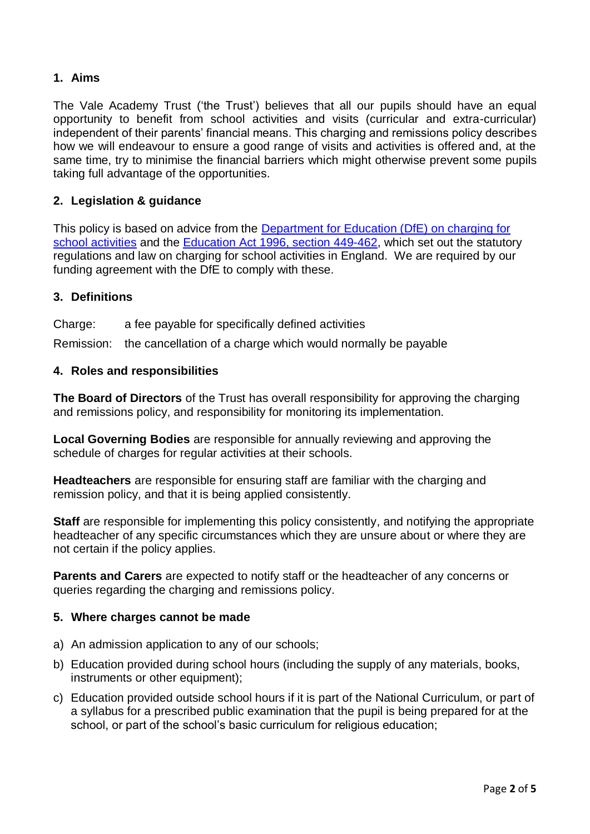## **1. Aims**

The Vale Academy Trust ('the Trust') believes that all our pupils should have an equal opportunity to benefit from school activities and visits (curricular and extra-curricular) independent of their parents' financial means. This charging and remissions policy describes how we will endeavour to ensure a good range of visits and activities is offered and, at the same time, try to minimise the financial barriers which might otherwise prevent some pupils taking full advantage of the opportunities.

## **2. Legislation & guidance**

This policy is based on advice from the [Department for Education \(DfE\) on charging for](https://www.gov.uk/government/publications/charging-for-school-activities)  [school activities](https://www.gov.uk/government/publications/charging-for-school-activities) and the [Education Act 1996, section 449-462,](https://www.legislation.gov.uk/ukpga/1996/56/contents) which set out the statutory regulations and law on charging for school activities in England. We are required by our funding agreement with the DfE to comply with these.

### **3. Definitions**

Charge: a fee payable for specifically defined activities

Remission: the cancellation of a charge which would normally be payable

#### **4. Roles and responsibilities**

**The Board of Directors** of the Trust has overall responsibility for approving the charging and remissions policy, and responsibility for monitoring its implementation.

**Local Governing Bodies** are responsible for annually reviewing and approving the schedule of charges for regular activities at their schools.

**Headteachers** are responsible for ensuring staff are familiar with the charging and remission policy, and that it is being applied consistently.

**Staff** are responsible for implementing this policy consistently, and notifying the appropriate headteacher of any specific circumstances which they are unsure about or where they are not certain if the policy applies.

**Parents and Carers** are expected to notify staff or the headteacher of any concerns or queries regarding the charging and remissions policy.

### **5. Where charges cannot be made**

- a) An admission application to any of our schools;
- b) Education provided during school hours (including the supply of any materials, books, instruments or other equipment);
- c) Education provided outside school hours if it is part of the National Curriculum, or part of a syllabus for a prescribed public examination that the pupil is being prepared for at the school, or part of the school's basic curriculum for religious education;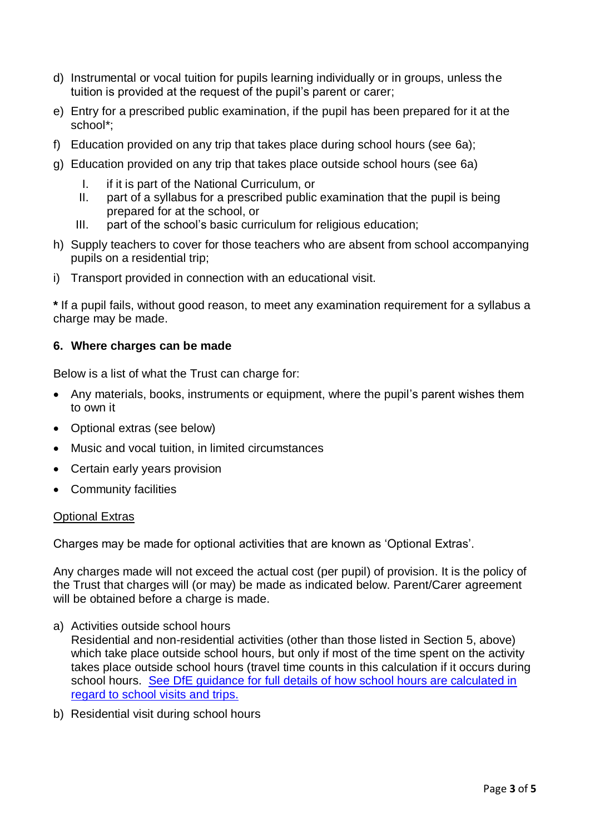- d) Instrumental or vocal tuition for pupils learning individually or in groups, unless the tuition is provided at the request of the pupil's parent or carer;
- e) Entry for a prescribed public examination, if the pupil has been prepared for it at the school\*;
- f) Education provided on any trip that takes place during school hours (see 6a);
- g) Education provided on any trip that takes place outside school hours (see 6a)
	- I. if it is part of the National Curriculum, or
	- II. part of a syllabus for a prescribed public examination that the pupil is being prepared for at the school, or
	- III. part of the school's basic curriculum for religious education;
- h) Supply teachers to cover for those teachers who are absent from school accompanying pupils on a residential trip;
- i) Transport provided in connection with an educational visit.

**\*** If a pupil fails, without good reason, to meet any examination requirement for a syllabus a charge may be made.

#### **6. Where charges can be made**

Below is a list of what the Trust can charge for:

- Any materials, books, instruments or equipment, where the pupil's parent wishes them to own it
- Optional extras (see below)
- Music and vocal tuition, in limited circumstances
- Certain early years provision
- Community facilities

### Optional Extras

Charges may be made for optional activities that are known as 'Optional Extras'.

Any charges made will not exceed the actual cost (per pupil) of provision. It is the policy of the Trust that charges will (or may) be made as indicated below. Parent/Carer agreement will be obtained before a charge is made.

a) Activities outside school hours

Residential and non-residential activities (other than those listed in Section 5, above) which take place outside school hours, but only if most of the time spent on the activity takes place outside school hours (travel time counts in this calculation if it occurs during school hours. [See DfE guidance for full details of how school hours are calculated in](https://assets.publishing.service.gov.uk/government/uploads/system/uploads/attachment_data/file/706830/Charging_for_school_activities.pdf)  [regard to school visits and trips.](https://assets.publishing.service.gov.uk/government/uploads/system/uploads/attachment_data/file/706830/Charging_for_school_activities.pdf)

b) Residential visit during school hours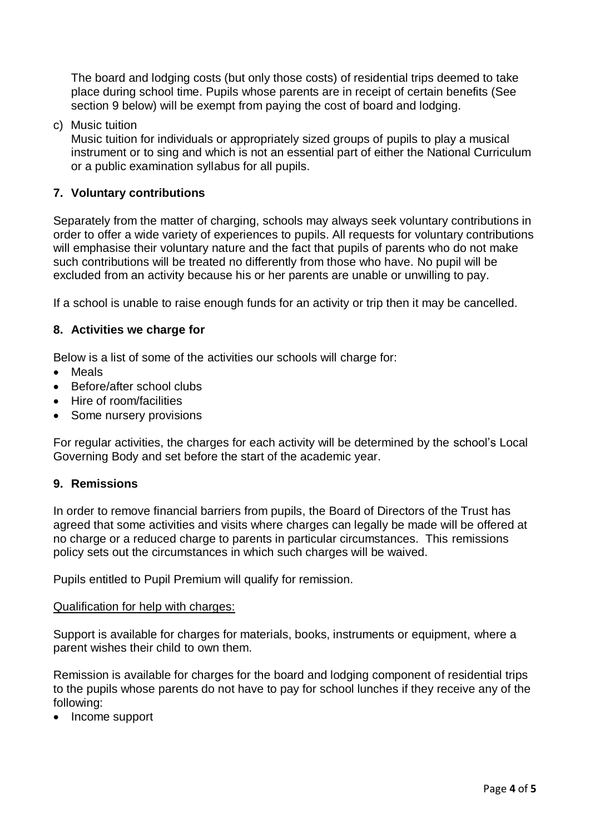The board and lodging costs (but only those costs) of residential trips deemed to take place during school time. Pupils whose parents are in receipt of certain benefits (See section 9 below) will be exempt from paying the cost of board and lodging.

c) Music tuition

Music tuition for individuals or appropriately sized groups of pupils to play a musical instrument or to sing and which is not an essential part of either the National Curriculum or a public examination syllabus for all pupils.

## **7. Voluntary contributions**

Separately from the matter of charging, schools may always seek voluntary contributions in order to offer a wide variety of experiences to pupils. All requests for voluntary contributions will emphasise their voluntary nature and the fact that pupils of parents who do not make such contributions will be treated no differently from those who have. No pupil will be excluded from an activity because his or her parents are unable or unwilling to pay.

If a school is unable to raise enough funds for an activity or trip then it may be cancelled.

## **8. Activities we charge for**

Below is a list of some of the activities our schools will charge for:

- Meals
- Before/after school clubs
- Hire of room/facilities
- Some nursery provisions

For regular activities, the charges for each activity will be determined by the school's Local Governing Body and set before the start of the academic year.

### **9. Remissions**

In order to remove financial barriers from pupils, the Board of Directors of the Trust has agreed that some activities and visits where charges can legally be made will be offered at no charge or a reduced charge to parents in particular circumstances. This remissions policy sets out the circumstances in which such charges will be waived.

Pupils entitled to Pupil Premium will qualify for remission.

#### Qualification for help with charges:

Support is available for charges for materials, books, instruments or equipment, where a parent wishes their child to own them.

Remission is available for charges for the board and lodging component of residential trips to the pupils whose parents do not have to pay for school lunches if they receive any of the following:

• Income support